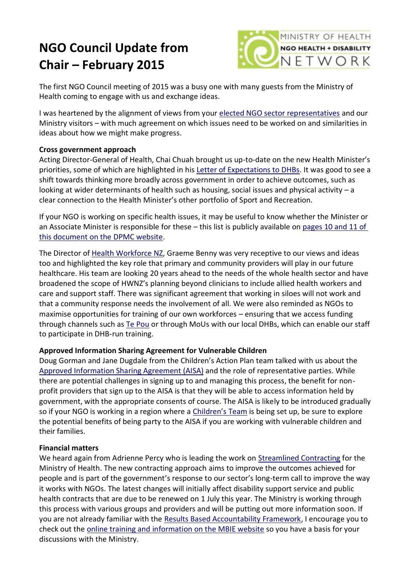# **NGO Council Update from Chair – February 2015**



The first NGO Council meeting of 2015 was a busy one with many guests from the Ministry of Health coming to engage with us and exchange ideas.

I was heartened by the alignment of views from your [elected NGO sector representatives](http://ngo.health.govt.nz/about-us/elected-representatives) and our Ministry visitors – with much agreement on which issues need to be worked on and similarities in ideas about how we might make progress.

### **Cross government approach**

Acting Director-General of Health, Chai Chuah brought us up-to-date on the new Health Minister's priorities, some of which are highlighted in his [Letter of Expectations to DHBs.](http://www.nsfl.health.govt.nz/apps/nsfl.nsf/pagesmh/527) It was good to see a shift towards thinking more broadly across government in order to achieve outcomes, such as looking at wider determinants of health such as housing, social issues and physical activity – a clear connection to the Health Minister's other portfolio of Sport and Recreation.

If your NGO is working on specific health issues, it may be useful to know whether the Minister or an Associate Minister is responsible for these - this list is publicly available on pages 10 and 11 of this [document on the DPMC website.](http://www.dpmc.govt.nz/sites/all/files/schedule_of_responsibilities_delegated_to_associate_ministers_and_parliamentary_under-secretaries_as_at_9_december_2014.pdf)

The Director of [Health Workforce NZ,](http://healthworkforce.health.govt.nz/our-current-work) Graeme Benny was very receptive to our views and ideas too and highlighted the key role that primary and community providers will play in our future healthcare. His team are looking 20 years ahead to the needs of the whole health sector and have broadened the scope of HWNZ's planning beyond clinicians to include allied health workers and care and support staff. There was significant agreement that working in siloes will not work and that a community response needs the involvement of all. We were also reminded as NGOs to maximise opportunities for training of our own workforces – ensuring that we access funding through channels such as [Te Pou](http://www.tepou.co.nz/training) or through MoUs with our local DHBs, which can enable our staff to participate in DHB-run training.

### **Approved Information Sharing Agreement for Vulnerable Children**

Doug Gorman and Jane Dugdale from the Children's Action Plan team talked with us about the [Approved Information Sharing Agreement \(AISA\)](http://www.childrensactionplan.govt.nz/info-sharing/) and the role of representative parties. While there are potential challenges in signing up to and managing this process, the benefit for nonprofit providers that sign up to the AISA is that they will be able to access information held by government, with the appropriate consents of course. The AISA is likely to be introduced gradually so if your NGO is working in a region where a [Children's Team](http://www.childrensactionplan.govt.nz/childrens-teams/) is being set up, be sure to explore the potential benefits of being party to the AISA if you are working with vulnerable children and their families.

#### **Financial matters**

We heard again from Adrienne Percy who is leading the work on [Streamlined Contracting](http://www.business.govt.nz/procurement/procurement-reform/streamlined-contracting-with-ngos) for the Ministry of Health. The new contracting approach aims to improve the outcomes achieved for people and is part of the government's response to our sector's long-term call to improve the way it works with NGOs. The latest changes will initially affect disability support service and public health contracts that are due to be renewed on 1 July this year. The Ministry is working through this process with various groups and providers and will be putting out more information soon. If you are not already familiar with the [Results Based Accountability Framework,](http://www.business.govt.nz/procurement/procurement-reform/streamlined-contracting-with-ngos/results-based-accountability) I encourage you to check out the [online training and information on the MBIE website](http://www.business.govt.nz/procurement/procurement-reform/streamlined-contracting-with-ngos/training-and-education-programme#RBA1day) so you have a basis for your discussions with the Ministry.